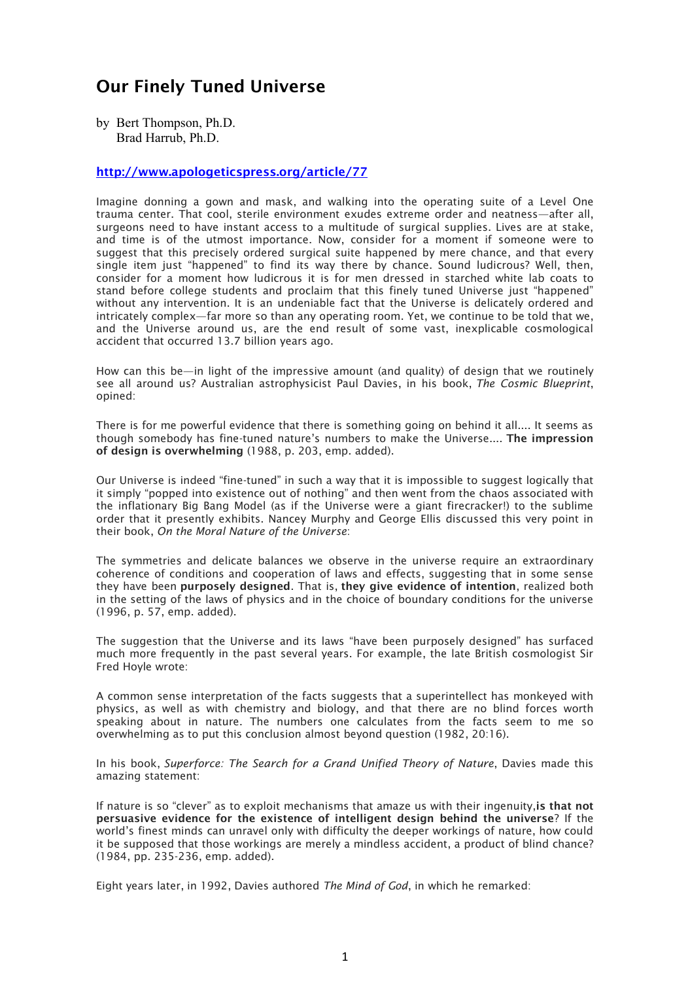## **Our Finely Tuned Universe**

by Bert Thompson, Ph.D. Brad Harrub, Ph.D.

## **http://www.apologeticspress.org/article/77**

Imagine donning a gown and mask, and walking into the operating suite of a Level One trauma center. That cool, sterile environment exudes extreme order and neatness—after all, surgeons need to have instant access to a multitude of surgical supplies. Lives are at stake, and time is of the utmost importance. Now, consider for a moment if someone were to suggest that this precisely ordered surgical suite happened by mere chance, and that every single item just "happened" to find its way there by chance. Sound ludicrous? Well, then, consider for a moment how ludicrous it is for men dressed in starched white lab coats to stand before college students and proclaim that this finely tuned Universe just "happened" without any intervention. It is an undeniable fact that the Universe is delicately ordered and intricately complex—far more so than any operating room. Yet, we continue to be told that we, and the Universe around us, are the end result of some vast, inexplicable cosmological accident that occurred 13.7 billion years ago.

How can this be—in light of the impressive amount (and quality) of design that we routinely see all around us? Australian astrophysicist Paul Davies, in his book, *The Cosmic Blueprint*, opined:

There is for me powerful evidence that there is something going on behind it all.... It seems as though somebody has fine-tuned nature's numbers to make the Universe.... **The impression of design is overwhelming** (1988, p. 203, emp. added).

Our Universe is indeed "fine-tuned" in such a way that it is impossible to suggest logically that it simply "popped into existence out of nothing" and then went from the chaos associated with the inflationary Big Bang Model (as if the Universe were a giant firecracker!) to the sublime order that it presently exhibits. Nancey Murphy and George Ellis discussed this very point in their book, *On the Moral Nature of the Universe*:

The symmetries and delicate balances we observe in the universe require an extraordinary coherence of conditions and cooperation of laws and effects, suggesting that in some sense they have been **purposely designed**. That is, **they give evidence of intention**, realized both in the setting of the laws of physics and in the choice of boundary conditions for the universe (1996, p. 57, emp. added).

The suggestion that the Universe and its laws "have been purposely designed" has surfaced much more frequently in the past several years. For example, the late British cosmologist Sir Fred Hoyle wrote:

A common sense interpretation of the facts suggests that a superintellect has monkeyed with physics, as well as with chemistry and biology, and that there are no blind forces worth speaking about in nature. The numbers one calculates from the facts seem to me so overwhelming as to put this conclusion almost beyond question (1982, 20:16).

In his book, *Superforce: The Search for a Grand Unified Theory of Nature*, Davies made this amazing statement:

If nature is so "clever" as to exploit mechanisms that amaze us with their ingenuity,**is that not persuasive evidence for the existence of intelligent design behind the universe**? If the world's finest minds can unravel only with difficulty the deeper workings of nature, how could it be supposed that those workings are merely a mindless accident, a product of blind chance? (1984, pp. 235-236, emp. added).

Eight years later, in 1992, Davies authored *The Mind of God*, in which he remarked: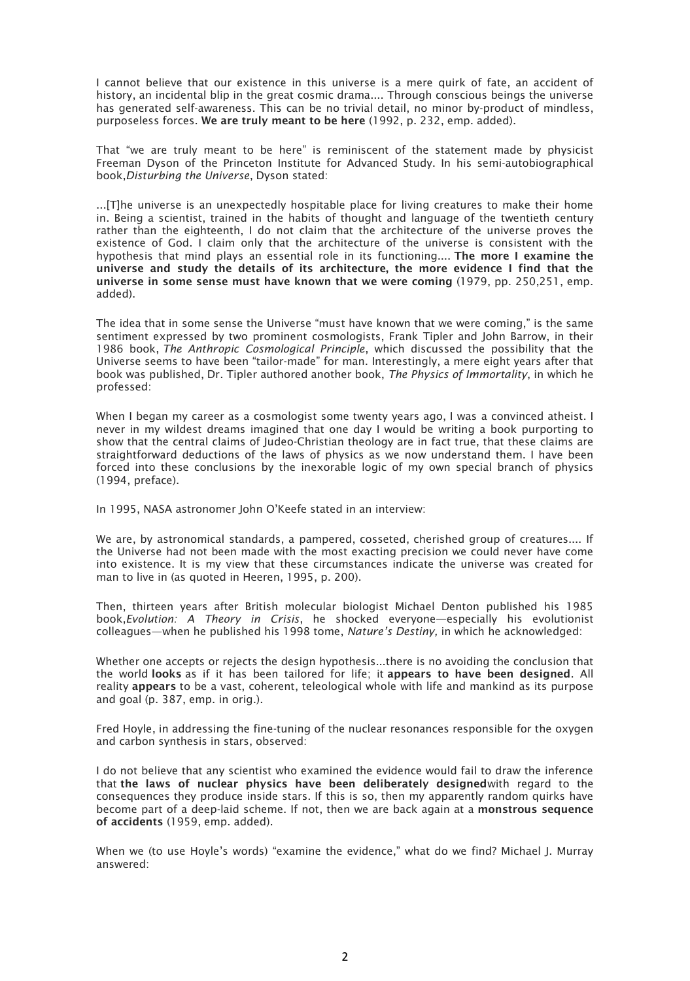I cannot believe that our existence in this universe is a mere quirk of fate, an accident of history, an incidental blip in the great cosmic drama.... Through conscious beings the universe has generated self-awareness. This can be no trivial detail, no minor by-product of mindless, purposeless forces. **We are truly meant to be here** (1992, p. 232, emp. added).

That "we are truly meant to be here" is reminiscent of the statement made by physicist Freeman Dyson of the Princeton Institute for Advanced Study. In his semi-autobiographical book,*Disturbing the Universe*, Dyson stated:

...[T]he universe is an unexpectedly hospitable place for living creatures to make their home in. Being a scientist, trained in the habits of thought and language of the twentieth century rather than the eighteenth, I do not claim that the architecture of the universe proves the existence of God. I claim only that the architecture of the universe is consistent with the hypothesis that mind plays an essential role in its functioning.... **The more I examine the universe and study the details of its architecture, the more evidence I find that the universe in some sense must have known that we were coming** (1979, pp. 250,251, emp. added).

The idea that in some sense the Universe "must have known that we were coming," is the same sentiment expressed by two prominent cosmologists, Frank Tipler and John Barrow, in their 1986 book, *The Anthropic Cosmological Principle*, which discussed the possibility that the Universe seems to have been "tailor-made" for man. Interestingly, a mere eight years after that book was published, Dr. Tipler authored another book, *The Physics of Immortality*, in which he professed:

When I began my career as a cosmologist some twenty years ago, I was a convinced atheist. I never in my wildest dreams imagined that one day I would be writing a book purporting to show that the central claims of Judeo-Christian theology are in fact true, that these claims are straightforward deductions of the laws of physics as we now understand them. I have been forced into these conclusions by the inexorable logic of my own special branch of physics (1994, preface).

In 1995, NASA astronomer John O'Keefe stated in an interview:

We are, by astronomical standards, a pampered, cosseted, cherished group of creatures.... If the Universe had not been made with the most exacting precision we could never have come into existence. It is my view that these circumstances indicate the universe was created for man to live in (as quoted in Heeren, 1995, p. 200).

Then, thirteen years after British molecular biologist Michael Denton published his 1985 book,*Evolution: A Theory in Crisis*, he shocked everyone—especially his evolutionist colleagues—when he published his 1998 tome, *Nature's Destiny,* in which he acknowledged:

Whether one accepts or rejects the design hypothesis...there is no avoiding the conclusion that the world **looks** as if it has been tailored for life; it **appears to have been designed**. All reality **appears** to be a vast, coherent, teleological whole with life and mankind as its purpose and goal (p. 387, emp. in orig.).

Fred Hoyle, in addressing the fine-tuning of the nuclear resonances responsible for the oxygen and carbon synthesis in stars, observed:

I do not believe that any scientist who examined the evidence would fail to draw the inference that **the laws of nuclear physics have been deliberately designed**with regard to the consequences they produce inside stars. If this is so, then my apparently random quirks have become part of a deep-laid scheme. If not, then we are back again at a **monstrous sequence of accidents** (1959, emp. added).

When we (to use Hoyle's words) "examine the evidence," what do we find? Michael J. Murray answered: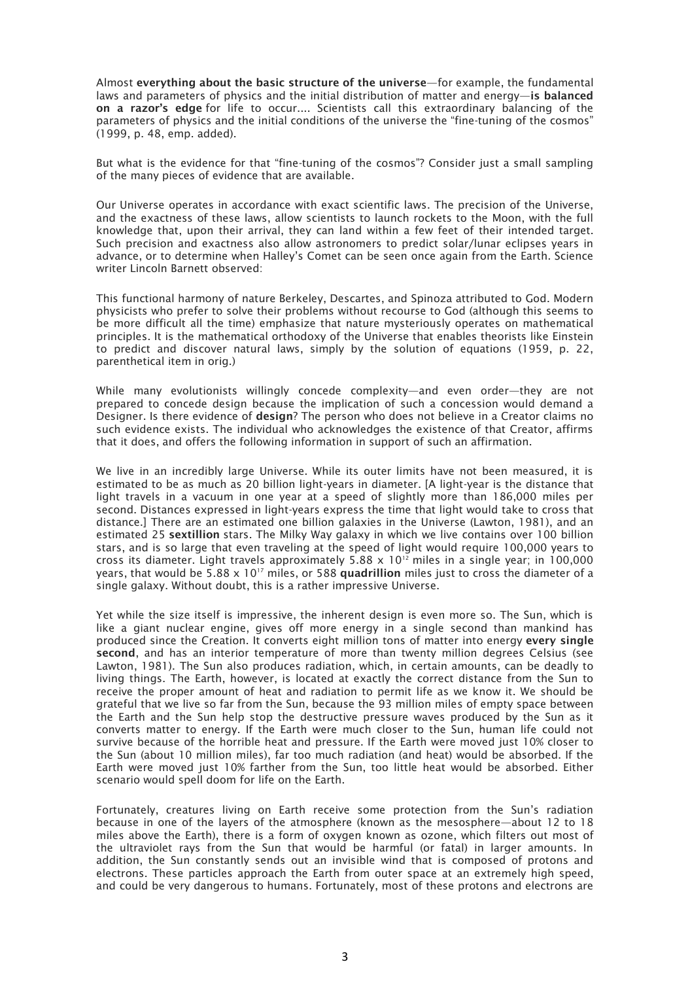Almost **everything about the basic structure of the universe**—for example, the fundamental laws and parameters of physics and the initial distribution of matter and energy—**is balanced on a razor's edge** for life to occur.... Scientists call this extraordinary balancing of the parameters of physics and the initial conditions of the universe the "fine-tuning of the cosmos" (1999, p. 48, emp. added).

But what is the evidence for that "fine-tuning of the cosmos"? Consider just a small sampling of the many pieces of evidence that are available.

Our Universe operates in accordance with exact scientific laws. The precision of the Universe, and the exactness of these laws, allow scientists to launch rockets to the Moon, with the full knowledge that, upon their arrival, they can land within a few feet of their intended target. Such precision and exactness also allow astronomers to predict solar/lunar eclipses years in advance, or to determine when Halley's Comet can be seen once again from the Earth. Science writer Lincoln Barnett observed:

This functional harmony of nature Berkeley, Descartes, and Spinoza attributed to God. Modern physicists who prefer to solve their problems without recourse to God (although this seems to be more difficult all the time) emphasize that nature mysteriously operates on mathematical principles. It is the mathematical orthodoxy of the Universe that enables theorists like Einstein to predict and discover natural laws, simply by the solution of equations (1959, p. 22, parenthetical item in orig.)

While many evolutionists willingly concede complexity—and even order—they are not prepared to concede design because the implication of such a concession would demand a Designer. Is there evidence of **design**? The person who does not believe in a Creator claims no such evidence exists. The individual who acknowledges the existence of that Creator, affirms that it does, and offers the following information in support of such an affirmation.

We live in an incredibly large Universe. While its outer limits have not been measured, it is estimated to be as much as 20 billion light-years in diameter. [A light-year is the distance that light travels in a vacuum in one year at a speed of slightly more than 186,000 miles per second. Distances expressed in light-years express the time that light would take to cross that distance.] There are an estimated one billion galaxies in the Universe (Lawton, 1981), and an estimated 25 **sextillion** stars. The Milky Way galaxy in which we live contains over 100 billion stars, and is so large that even traveling at the speed of light would require 100,000 years to cross its diameter. Light travels approximately 5.88  $\times$  10<sup>12</sup> miles in a single year; in 100,000 years, that would be 5.88 x 10<sup>17</sup> miles, or 588 quadrillion miles just to cross the diameter of a single galaxy. Without doubt, this is a rather impressive Universe.

Yet while the size itself is impressive, the inherent design is even more so. The Sun, which is like a giant nuclear engine, gives off more energy in a single second than mankind has produced since the Creation. It converts eight million tons of matter into energy **every single second**, and has an interior temperature of more than twenty million degrees Celsius (see Lawton, 1981). The Sun also produces radiation, which, in certain amounts, can be deadly to living things. The Earth, however, is located at exactly the correct distance from the Sun to receive the proper amount of heat and radiation to permit life as we know it. We should be grateful that we live so far from the Sun, because the 93 million miles of empty space between the Earth and the Sun help stop the destructive pressure waves produced by the Sun as it converts matter to energy. If the Earth were much closer to the Sun, human life could not survive because of the horrible heat and pressure. If the Earth were moved just 10% closer to the Sun (about 10 million miles), far too much radiation (and heat) would be absorbed. If the Earth were moved just 10% farther from the Sun, too little heat would be absorbed. Either scenario would spell doom for life on the Earth.

Fortunately, creatures living on Earth receive some protection from the Sun's radiation because in one of the layers of the atmosphere (known as the mesosphere—about 12 to 18 miles above the Earth), there is a form of oxygen known as ozone, which filters out most of the ultraviolet rays from the Sun that would be harmful (or fatal) in larger amounts. In addition, the Sun constantly sends out an invisible wind that is composed of protons and electrons. These particles approach the Earth from outer space at an extremely high speed, and could be very dangerous to humans. Fortunately, most of these protons and electrons are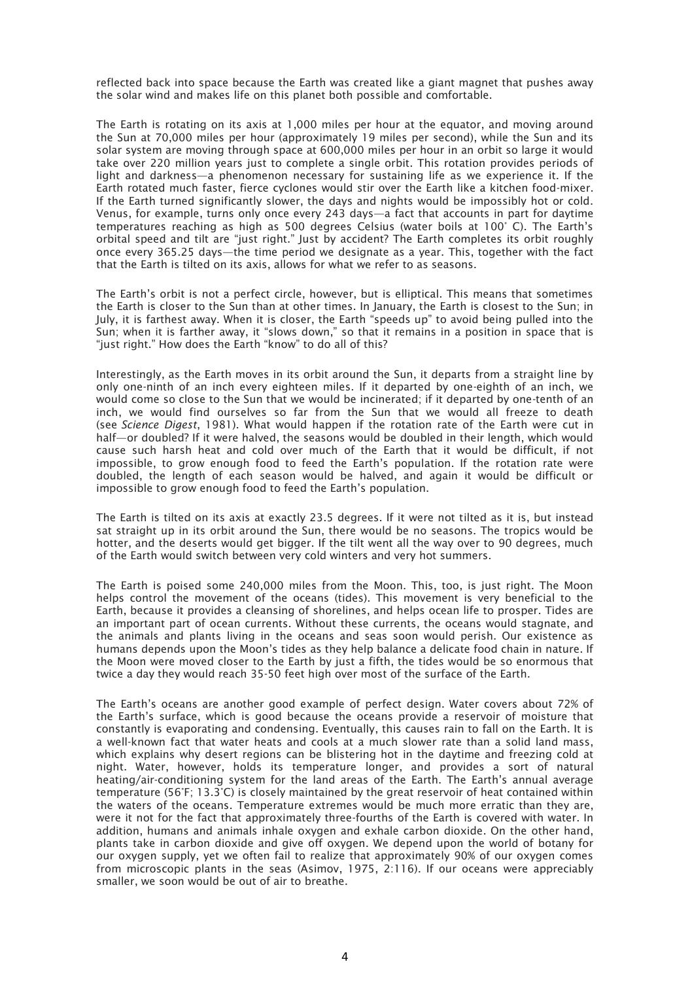reflected back into space because the Earth was created like a giant magnet that pushes away the solar wind and makes life on this planet both possible and comfortable.

The Earth is rotating on its axis at 1,000 miles per hour at the equator, and moving around the Sun at 70,000 miles per hour (approximately 19 miles per second), while the Sun and its solar system are moving through space at 600,000 miles per hour in an orbit so large it would take over 220 million years just to complete a single orbit. This rotation provides periods of light and darkness—a phenomenon necessary for sustaining life as we experience it. If the Earth rotated much faster, fierce cyclones would stir over the Earth like a kitchen food-mixer. If the Earth turned significantly slower, the days and nights would be impossibly hot or cold. Venus, for example, turns only once every 243 days—a fact that accounts in part for daytime temperatures reaching as high as 500 degrees Celsius (water boils at 100° C). The Earth's orbital speed and tilt are "just right." Just by accident? The Earth completes its orbit roughly once every 365.25 days—the time period we designate as a year. This, together with the fact that the Earth is tilted on its axis, allows for what we refer to as seasons.

The Earth's orbit is not a perfect circle, however, but is elliptical. This means that sometimes the Earth is closer to the Sun than at other times. In January, the Earth is closest to the Sun; in July, it is farthest away. When it is closer, the Earth "speeds up" to avoid being pulled into the Sun; when it is farther away, it "slows down," so that it remains in a position in space that is "just right." How does the Earth "know" to do all of this?

Interestingly, as the Earth moves in its orbit around the Sun, it departs from a straight line by only one-ninth of an inch every eighteen miles. If it departed by one-eighth of an inch, we would come so close to the Sun that we would be incinerated; if it departed by one-tenth of an inch, we would find ourselves so far from the Sun that we would all freeze to death (see *Science Digest*, 1981). What would happen if the rotation rate of the Earth were cut in half—or doubled? If it were halved, the seasons would be doubled in their length, which would cause such harsh heat and cold over much of the Earth that it would be difficult, if not impossible, to grow enough food to feed the Earth's population. If the rotation rate were doubled, the length of each season would be halved, and again it would be difficult or impossible to grow enough food to feed the Earth's population.

The Earth is tilted on its axis at exactly 23.5 degrees. If it were not tilted as it is, but instead sat straight up in its orbit around the Sun, there would be no seasons. The tropics would be hotter, and the deserts would get bigger. If the tilt went all the way over to 90 degrees, much of the Earth would switch between very cold winters and very hot summers.

The Earth is poised some 240,000 miles from the Moon. This, too, is just right. The Moon helps control the movement of the oceans (tides). This movement is very beneficial to the Earth, because it provides a cleansing of shorelines, and helps ocean life to prosper. Tides are an important part of ocean currents. Without these currents, the oceans would stagnate, and the animals and plants living in the oceans and seas soon would perish. Our existence as humans depends upon the Moon's tides as they help balance a delicate food chain in nature. If the Moon were moved closer to the Earth by just a fifth, the tides would be so enormous that twice a day they would reach 35-50 feet high over most of the surface of the Earth.

The Earth's oceans are another good example of perfect design. Water covers about 72% of the Earth's surface, which is good because the oceans provide a reservoir of moisture that constantly is evaporating and condensing. Eventually, this causes rain to fall on the Earth. It is a well-known fact that water heats and cools at a much slower rate than a solid land mass, which explains why desert regions can be blistering hot in the daytime and freezing cold at night. Water, however, holds its temperature longer, and provides a sort of natural heating/air-conditioning system for the land areas of the Earth. The Earth's annual average temperature (56°F; 13.3°C) is closely maintained by the great reservoir of heat contained within the waters of the oceans. Temperature extremes would be much more erratic than they are, were it not for the fact that approximately three-fourths of the Earth is covered with water. In addition, humans and animals inhale oxygen and exhale carbon dioxide. On the other hand, plants take in carbon dioxide and give off oxygen. We depend upon the world of botany for our oxygen supply, yet we often fail to realize that approximately 90% of our oxygen comes from microscopic plants in the seas (Asimov, 1975, 2:116). If our oceans were appreciably smaller, we soon would be out of air to breathe.